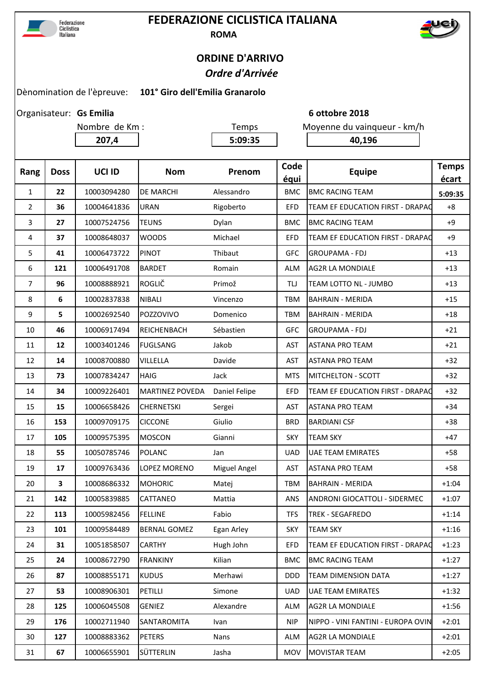

## **FEDERAZIONE CICLISTICA ITALIANA ROMA**



## **ORDINE D'ARRIVO**  *Ordre d'Arrivée*

Dènomination de l'èpreuve: **101° Giro dell'Emilia Granarolo**

Organisateur: Gs Emilia

Nombre de Km : Temps Moyenne du vainqueur - km/h

**207,4 5:09:35 40,196** 

**Gs Emilia 6 ottobre 2018**

| Rang           | <b>Doss</b> | UCI ID      | <b>Nom</b>             | Prenom              | Code<br>équi | <b>Equipe</b>                      | <b>Temps</b><br>écart |
|----------------|-------------|-------------|------------------------|---------------------|--------------|------------------------------------|-----------------------|
| 1              | 22          | 10003094280 | <b>DE MARCHI</b>       | Alessandro          | <b>BMC</b>   | <b>BMC RACING TEAM</b>             | 5:09:35               |
| $\overline{2}$ | 36          | 10004641836 | <b>URAN</b>            | Rigoberto           | <b>EFD</b>   | TEAM EF EDUCATION FIRST - DRAPAC   | $+8$                  |
| 3              | 27          | 10007524756 | <b>TEUNS</b>           | Dylan               | <b>BMC</b>   | <b>BMC RACING TEAM</b>             | $+9$                  |
| 4              | 37          | 10008648037 | <b>WOODS</b>           | Michael             | <b>EFD</b>   | TEAM EF EDUCATION FIRST - DRAPAC   | $+9$                  |
| 5              | 41          | 10006473722 | <b>PINOT</b>           | Thibaut             | <b>GFC</b>   | <b>GROUPAMA - FDJ</b>              | $+13$                 |
| 6              | 121         | 10006491708 | <b>BARDET</b>          | Romain              | <b>ALM</b>   | <b>AG2R LA MONDIALE</b>            | $+13$                 |
| 7              | 96          | 10008888921 | <b>ROGLIČ</b>          | Primož              | TU           | TEAM LOTTO NL - JUMBO              | $+13$                 |
| 8              | 6           | 10002837838 | <b>NIBALI</b>          | Vincenzo            | <b>TBM</b>   | <b>BAHRAIN - MERIDA</b>            | $+15$                 |
| 9              | 5           | 10002692540 | POZZOVIVO              | Domenico            | <b>TBM</b>   | <b>BAHRAIN - MERIDA</b>            | $+18$                 |
| 10             | 46          | 10006917494 | REICHENBACH            | Sébastien           | <b>GFC</b>   | <b>GROUPAMA - FDJ</b>              | $+21$                 |
| 11             | 12          | 10003401246 | <b>FUGLSANG</b>        | Jakob               | <b>AST</b>   | <b>ASTANA PRO TEAM</b>             | $+21$                 |
| 12             | 14          | 10008700880 | VILLELLA               | Davide              | AST          | <b>ASTANA PRO TEAM</b>             | $+32$                 |
| 13             | 73          | 10007834247 | <b>HAIG</b>            | Jack                | <b>MTS</b>   | <b>MITCHELTON - SCOTT</b>          | $+32$                 |
| 14             | 34          | 10009226401 | <b>MARTINEZ POVEDA</b> | Daniel Felipe       | <b>EFD</b>   | TEAM EF EDUCATION FIRST - DRAPAC   | $+32$                 |
| 15             | 15          | 10006658426 | <b>CHERNETSKI</b>      | Sergei              | AST          | <b>ASTANA PRO TEAM</b>             | $+34$                 |
| 16             | 153         | 10009709175 | <b>CICCONE</b>         | Giulio              | <b>BRD</b>   | <b>BARDIANI CSF</b>                | $+38$                 |
| 17             | 105         | 10009575395 | <b>MOSCON</b>          | Gianni              | <b>SKY</b>   | <b>TEAM SKY</b>                    | $+47$                 |
| 18             | 55          | 10050785746 | <b>POLANC</b>          | Jan                 | <b>UAD</b>   | <b>UAE TEAM EMIRATES</b>           | $+58$                 |
| 19             | 17          | 10009763436 | LOPEZ MORENO           | <b>Miguel Angel</b> | AST          | <b>ASTANA PRO TEAM</b>             | $+58$                 |
| 20             | 3           | 10008686332 | <b>MOHORIC</b>         | Matej               | <b>TBM</b>   | <b>BAHRAIN - MERIDA</b>            | $+1:04$               |
| 21             | 142         | 10005839885 | <b>CATTANEO</b>        | Mattia              | ANS          | ANDRONI GIOCATTOLI - SIDERMEC      | $+1:07$               |
| 22             | 113         | 10005982456 | <b>FELLINE</b>         | Fabio               | <b>TFS</b>   | <b>TREK - SEGAFREDO</b>            | $+1:14$               |
| 23             | 101         | 10009584489 | <b>BERNAL GOMEZ</b>    | Egan Arley          | <b>SKY</b>   | <b>TEAM SKY</b>                    | $+1:16$               |
| 24             | 31          | 10051858507 | <b>CARTHY</b>          | Hugh John           | <b>EFD</b>   | TEAM EF EDUCATION FIRST - DRAPAC   | $+1:23$               |
| 25             | 24          | 10008672790 | <b>FRANKINY</b>        | Kilian              | <b>BMC</b>   | <b>BMC RACING TEAM</b>             | $+1:27$               |
| 26             | 87          | 10008855171 | <b>KUDUS</b>           | Merhawi             | <b>DDD</b>   | TEAM DIMENSION DATA                | $+1:27$               |
| 27             | 53          | 10008906301 | PETILLI                | Simone              | <b>UAD</b>   | <b>UAE TEAM EMIRATES</b>           | $+1:32$               |
| 28             | 125         | 10006045508 | <b>GENIEZ</b>          | Alexandre           | ALM          | <b>AG2R LA MONDIALE</b>            | $+1:56$               |
| 29             | 176         | 10002711940 | <b>SANTAROMITA</b>     | Ivan                | <b>NIP</b>   | NIPPO - VINI FANTINI - EUROPA OVIN | $+2:01$               |
| 30             | 127         | 10008883362 | <b>PETERS</b>          | Nans                | ALM          | <b>AG2R LA MONDIALE</b>            | $+2:01$               |
| 31             | 67          | 10006655901 | SÜTTERLIN              | Jasha               | MOV          | MOVISTAR TEAM                      | $+2:05$               |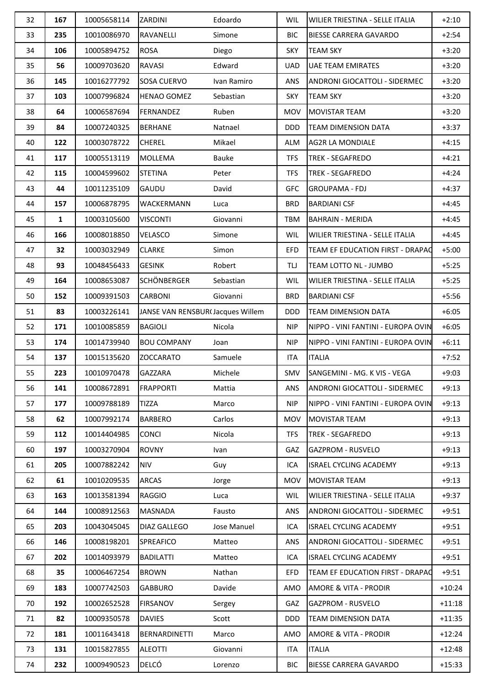| 32 | 167          | 10005658114 | ZARDINI                          | Edoardo     | <b>WIL</b> | WILIER TRIESTINA - SELLE ITALIA      | $+2:10$  |
|----|--------------|-------------|----------------------------------|-------------|------------|--------------------------------------|----------|
| 33 | 235          | 10010086970 | RAVANELLI                        | Simone      | <b>BIC</b> | <b>BIESSE CARRERA GAVARDO</b>        | $+2:54$  |
| 34 | 106          | 10005894752 | <b>ROSA</b>                      | Diego       | <b>SKY</b> | <b>TEAM SKY</b>                      | $+3:20$  |
| 35 | 56           | 10009703620 | <b>RAVASI</b>                    | Edward      | <b>UAD</b> | <b>UAE TEAM EMIRATES</b>             | $+3:20$  |
| 36 | 145          | 10016277792 | <b>SOSA CUERVO</b>               | Ivan Ramiro | <b>ANS</b> | <b>ANDRONI GIOCATTOLI - SIDERMEC</b> | $+3:20$  |
| 37 | 103          | 10007996824 | <b>HENAO GOMEZ</b>               | Sebastian   | <b>SKY</b> | <b>TEAM SKY</b>                      | $+3:20$  |
| 38 | 64           | 10006587694 | <b>FERNANDEZ</b>                 | Ruben       | <b>MOV</b> | <b>MOVISTAR TEAM</b>                 | $+3:20$  |
| 39 | 84           | 10007240325 | <b>BERHANE</b>                   | Natnael     | <b>DDD</b> | <b>TEAM DIMENSION DATA</b>           | $+3:37$  |
| 40 | 122          | 10003078722 | <b>CHEREL</b>                    | Mikael      | <b>ALM</b> | <b>AG2R LA MONDIALE</b>              | $+4:15$  |
| 41 | 117          | 10005513119 | <b>MOLLEMA</b>                   | Bauke       | <b>TFS</b> | <b>TREK - SEGAFREDO</b>              | $+4:21$  |
| 42 | 115          | 10004599602 | <b>STETINA</b>                   | Peter       | <b>TFS</b> | <b>TREK - SEGAFREDO</b>              | $+4:24$  |
| 43 | 44           | 10011235109 | <b>GAUDU</b>                     | David       | <b>GFC</b> | <b>GROUPAMA - FDJ</b>                | $+4:37$  |
| 44 | 157          | 10006878795 | WACKERMANN                       | Luca        | <b>BRD</b> | <b>BARDIANI CSF</b>                  | $+4:45$  |
| 45 | $\mathbf{1}$ | 10003105600 | VISCONTI                         | Giovanni    | <b>TBM</b> | <b>BAHRAIN - MERIDA</b>              | $+4:45$  |
| 46 | 166          | 10008018850 | <b>VELASCO</b>                   | Simone      | <b>WIL</b> | WILIER TRIESTINA - SELLE ITALIA      | $+4:45$  |
| 47 | 32           | 10003032949 | <b>CLARKE</b>                    | Simon       | <b>EFD</b> | TEAM EF EDUCATION FIRST - DRAPAC     | $+5:00$  |
| 48 | 93           | 10048456433 | <b>GESINK</b>                    | Robert      | <b>TU</b>  | TEAM LOTTO NL - JUMBO                | $+5:25$  |
| 49 | 164          | 10008653087 | <b>SCHÖNBERGER</b>               | Sebastian   | <b>WIL</b> | WILIER TRIESTINA - SELLE ITALIA      | $+5:25$  |
| 50 | 152          | 10009391503 | <b>CARBONI</b>                   | Giovanni    | <b>BRD</b> | <b>BARDIANI CSF</b>                  | $+5:56$  |
| 51 | 83           | 10003226141 | JANSE VAN RENSBUR(Jacques Willem |             | <b>DDD</b> | <b>TEAM DIMENSION DATA</b>           | $+6:05$  |
| 52 | 171          | 10010085859 | <b>BAGIOLI</b>                   | Nicola      | <b>NIP</b> | NIPPO - VINI FANTINI - EUROPA OVIN   | $+6:05$  |
| 53 | 174          | 10014739940 | <b>BOU COMPANY</b>               | Joan        | <b>NIP</b> | NIPPO - VINI FANTINI - EUROPA OVIN   | $+6:11$  |
| 54 | 137          | 10015135620 | <b>ZOCCARATO</b>                 | Samuele     | <b>ITA</b> | <b>ITALIA</b>                        | $+7:52$  |
| 55 | 223          | 10010970478 | GAZZARA                          | Michele     | SMV        | SANGEMINI - MG. K VIS - VEGA         | $+9:03$  |
| 56 | 141          | 10008672891 | <b>FRAPPORTI</b>                 | Mattia      | ANS        | ANDRONI GIOCATTOLI - SIDERMEC        | $+9:13$  |
| 57 | 177          | 10009788189 | <b>TIZZA</b>                     | Marco       | <b>NIP</b> | NIPPO - VINI FANTINI - EUROPA OVIN   | $+9:13$  |
| 58 | 62           | 10007992174 | <b>BARBERO</b>                   | Carlos      | MOV        | <b>MOVISTAR TEAM</b>                 | $+9:13$  |
| 59 | 112          | 10014404985 | <b>CONCI</b>                     | Nicola      | <b>TFS</b> | TREK - SEGAFREDO                     | $+9:13$  |
| 60 | 197          | 10003270904 | ROVNY                            | Ivan        | GAZ        | <b>GAZPROM - RUSVELO</b>             | $+9:13$  |
| 61 | 205          | 10007882242 | <b>NIV</b>                       | Guy         | <b>ICA</b> | <b>ISRAEL CYCLING ACADEMY</b>        | $+9:13$  |
| 62 | 61           | 10010209535 | <b>ARCAS</b>                     | Jorge       | MOV        | <b>MOVISTAR TEAM</b>                 | $+9:13$  |
| 63 | 163          | 10013581394 | <b>RAGGIO</b>                    | Luca        | <b>WIL</b> | WILIER TRIESTINA - SELLE ITALIA      | $+9:37$  |
| 64 | 144          | 10008912563 | <b>MASNADA</b>                   | Fausto      | ANS        | ANDRONI GIOCATTOLI - SIDERMEC        | $+9:51$  |
| 65 | 203          | 10043045045 | <b>DIAZ GALLEGO</b>              | Jose Manuel | ICA        | <b>ISRAEL CYCLING ACADEMY</b>        | $+9:51$  |
| 66 | 146          | 10008198201 | SPREAFICO                        | Matteo      | ANS        | ANDRONI GIOCATTOLI - SIDERMEC        | $+9:51$  |
| 67 | 202          | 10014093979 | <b>BADILATTI</b>                 | Matteo      | ICA        | ISRAEL CYCLING ACADEMY               | $+9:51$  |
| 68 | 35           | 10006467254 | <b>BROWN</b>                     | Nathan      | <b>EFD</b> | TEAM EF EDUCATION FIRST - DRAPAC     | $+9:51$  |
| 69 | 183          | 10007742503 | <b>GABBURO</b>                   | Davide      | AMO        | <b>AMORE &amp; VITA - PRODIR</b>     | $+10:24$ |
| 70 | 192          | 10002652528 | <b>FIRSANOV</b>                  | Sergey      | <b>GAZ</b> | <b>GAZPROM - RUSVELO</b>             | $+11:18$ |
| 71 | 82           | 10009350578 | <b>DAVIES</b>                    | Scott       | <b>DDD</b> | TEAM DIMENSION DATA                  | $+11:35$ |
| 72 | 181          | 10011643418 | BERNARDINETTI                    | Marco       | AMO        | AMORE & VITA - PRODIR                | $+12:24$ |
| 73 | 131          | 10015827855 | <b>ALEOTTI</b>                   | Giovanni    | ITA        | <b>ITALIA</b>                        | $+12:48$ |
| 74 | 232          | 10009490523 | <b>DELCÓ</b>                     | Lorenzo     | <b>BIC</b> | BIESSE CARRERA GAVARDO               | $+15:33$ |
|    |              |             |                                  |             |            |                                      |          |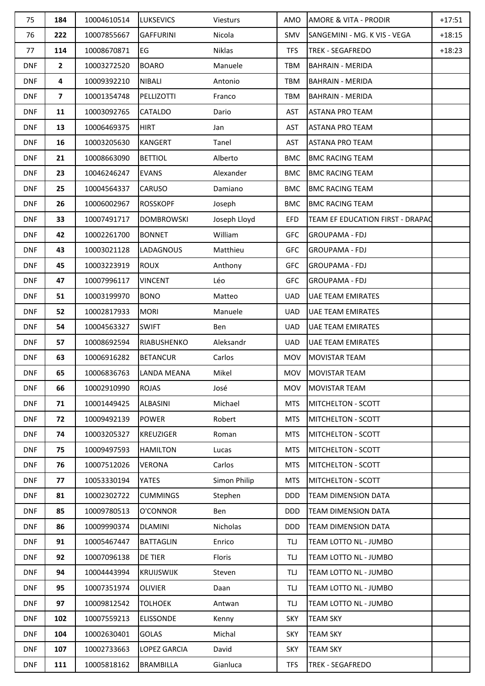| 75         | 184            | 10004610514 | <b>LUKSEVICS</b>    | <b>Viesturs</b> | AMO        | <b>AMORE &amp; VITA - PRODIR</b> | $+17:51$ |
|------------|----------------|-------------|---------------------|-----------------|------------|----------------------------------|----------|
| 76         | 222            | 10007855667 | <b>GAFFURINI</b>    | Nicola          | SMV        | SANGEMINI - MG. K VIS - VEGA     | $+18:15$ |
| 77         | 114            | 10008670871 | EG                  | Niklas          | <b>TFS</b> | <b>TREK - SEGAFREDO</b>          | $+18:23$ |
| <b>DNF</b> | $\mathbf{2}$   | 10003272520 | <b>BOARO</b>        | Manuele         | TBM        | <b>BAHRAIN - MERIDA</b>          |          |
| <b>DNF</b> | 4              | 10009392210 | <b>NIBALI</b>       | Antonio         | <b>TBM</b> | <b>BAHRAIN - MERIDA</b>          |          |
| <b>DNF</b> | $\overline{ }$ | 10001354748 | PELLIZOTTI          | Franco          | TBM        | <b>BAHRAIN - MERIDA</b>          |          |
| <b>DNF</b> | 11             | 10003092765 | <b>CATALDO</b>      | Dario           | AST        | <b>ASTANA PRO TEAM</b>           |          |
| <b>DNF</b> | 13             | 10006469375 | <b>HIRT</b>         | Jan             | AST        | <b>ASTANA PRO TEAM</b>           |          |
| <b>DNF</b> | 16             | 10003205630 | <b>KANGERT</b>      | Tanel           | AST        | <b>ASTANA PRO TEAM</b>           |          |
| <b>DNF</b> | 21             | 10008663090 | <b>BETTIOL</b>      | Alberto         | <b>BMC</b> | <b>BMC RACING TEAM</b>           |          |
| <b>DNF</b> | 23             | 10046246247 | <b>EVANS</b>        | Alexander       | <b>BMC</b> | <b>BMC RACING TEAM</b>           |          |
| <b>DNF</b> | 25             | 10004564337 | <b>CARUSO</b>       | Damiano         | <b>BMC</b> | <b>BMC RACING TEAM</b>           |          |
| <b>DNF</b> | 26             | 10006002967 | <b>ROSSKOPF</b>     | Joseph          | <b>BMC</b> | <b>BMC RACING TEAM</b>           |          |
| <b>DNF</b> | 33             | 10007491717 | <b>DOMBROWSKI</b>   | Joseph Lloyd    | <b>EFD</b> | TEAM EF EDUCATION FIRST - DRAPAC |          |
| <b>DNF</b> | 42             | 10002261700 | <b>BONNET</b>       | William         | <b>GFC</b> | <b>GROUPAMA - FDJ</b>            |          |
| <b>DNF</b> | 43             | 10003021128 | LADAGNOUS           | Matthieu        | <b>GFC</b> | <b>GROUPAMA - FDJ</b>            |          |
| <b>DNF</b> | 45             | 10003223919 | <b>ROUX</b>         | Anthony         | <b>GFC</b> | <b>GROUPAMA - FDJ</b>            |          |
| <b>DNF</b> | 47             | 10007996117 | <b>VINCENT</b>      | Léo             | <b>GFC</b> | <b>GROUPAMA - FDJ</b>            |          |
| <b>DNF</b> | 51             | 10003199970 | <b>BONO</b>         | Matteo          | <b>UAD</b> | <b>UAE TEAM EMIRATES</b>         |          |
| <b>DNF</b> | 52             | 10002817933 | <b>MORI</b>         | Manuele         | <b>UAD</b> | <b>UAE TEAM EMIRATES</b>         |          |
| <b>DNF</b> | 54             | 10004563327 | <b>SWIFT</b>        | Ben             | <b>UAD</b> | <b>UAE TEAM EMIRATES</b>         |          |
| <b>DNF</b> | 57             | 10008692594 | RIABUSHENKO         | Aleksandr       | <b>UAD</b> | <b>UAE TEAM EMIRATES</b>         |          |
| <b>DNF</b> | 63             | 10006916282 | <b>BETANCUR</b>     | Carlos          | MOV        | <b>MOVISTAR TEAM</b>             |          |
| <b>DNF</b> | 65             | 10006836763 | <b>LANDA MEANA</b>  | Mikel           |            | MOV MOVISTAR TEAM                |          |
| <b>DNF</b> | 66             | 10002910990 | <b>ROJAS</b>        | José            | <b>MOV</b> | <b>MOVISTAR TEAM</b>             |          |
| <b>DNF</b> | 71             | 10001449425 | ALBASINI            | Michael         | <b>MTS</b> | MITCHELTON - SCOTT               |          |
| <b>DNF</b> | 72             | 10009492139 | <b>POWER</b>        | Robert          | <b>MTS</b> | MITCHELTON - SCOTT               |          |
| <b>DNF</b> | 74             | 10003205327 | <b>KREUZIGER</b>    | Roman           | <b>MTS</b> | MITCHELTON - SCOTT               |          |
| <b>DNF</b> | 75             | 10009497593 | <b>HAMILTON</b>     | Lucas           | <b>MTS</b> | MITCHELTON - SCOTT               |          |
| <b>DNF</b> | 76             | 10007512026 | <b>VERONA</b>       | Carlos          | <b>MTS</b> | <b>MITCHELTON - SCOTT</b>        |          |
| <b>DNF</b> | 77             | 10053330194 | YATES               | Simon Philip    | <b>MTS</b> | <b>MITCHELTON - SCOTT</b>        |          |
| <b>DNF</b> | 81             | 10002302722 | <b>CUMMINGS</b>     | Stephen         | <b>DDD</b> | <b>TEAM DIMENSION DATA</b>       |          |
| <b>DNF</b> | 85             | 10009780513 | O'CONNOR            | Ben             | <b>DDD</b> | <b>TEAM DIMENSION DATA</b>       |          |
| <b>DNF</b> | 86             | 10009990374 | <b>DLAMINI</b>      | Nicholas        | <b>DDD</b> | <b>TEAM DIMENSION DATA</b>       |          |
| <b>DNF</b> | 91             | 10005467447 | <b>BATTAGLIN</b>    | Enrico          | TLJ        | TEAM LOTTO NL - JUMBO            |          |
| <b>DNF</b> | 92             | 10007096138 | <b>DE TIER</b>      | Floris          | TIJ        | TEAM LOTTO NL - JUMBO            |          |
| <b>DNF</b> | 94             | 10004443994 | <b>KRUIJSWIJK</b>   | Steven          | TIJ        | TEAM LOTTO NL - JUMBO            |          |
| <b>DNF</b> | 95             | 10007351974 | <b>OLIVIER</b>      | Daan            | TIJ        | TEAM LOTTO NL - JUMBO            |          |
| <b>DNF</b> | 97             | 10009812542 | <b>TOLHOEK</b>      | Antwan          | TIJ        | TEAM LOTTO NL - JUMBO            |          |
| <b>DNF</b> | 102            | 10007559213 | <b>ELISSONDE</b>    | Kenny           | <b>SKY</b> | <b>TEAM SKY</b>                  |          |
| <b>DNF</b> | 104            | 10002630401 | <b>GOLAS</b>        | Michal          | <b>SKY</b> | <b>TEAM SKY</b>                  |          |
| <b>DNF</b> | 107            | 10002733663 | <b>LOPEZ GARCIA</b> | David           | <b>SKY</b> | <b>TEAM SKY</b>                  |          |
| <b>DNF</b> | 111            | 10005818162 | <b>BRAMBILLA</b>    | Gianluca        | <b>TFS</b> | <b>TREK - SEGAFREDO</b>          |          |
|            |                |             |                     |                 |            |                                  |          |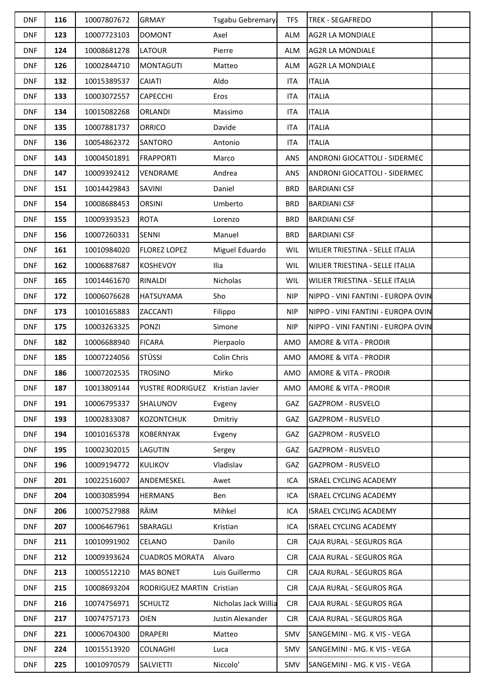| <b>DNF</b> | 116 | 10007807672 | <b>GRMAY</b>              | Tsgabu Gebremary     | <b>TFS</b> | <b>TREK - SEGAFREDO</b>            |  |
|------------|-----|-------------|---------------------------|----------------------|------------|------------------------------------|--|
| <b>DNF</b> | 123 | 10007723103 | <b>DOMONT</b>             | Axel                 | <b>ALM</b> | <b>AG2R LA MONDIALE</b>            |  |
| <b>DNF</b> | 124 | 10008681278 | <b>LATOUR</b>             | Pierre               | <b>ALM</b> | <b>AG2R LA MONDIALE</b>            |  |
| <b>DNF</b> | 126 | 10002844710 | <b>MONTAGUTI</b>          | Matteo               | <b>ALM</b> | AG2R LA MONDIALE                   |  |
| <b>DNF</b> | 132 | 10015389537 | <b>CAIATI</b>             | Aldo                 | <b>ITA</b> | <b>ITALIA</b>                      |  |
| <b>DNF</b> | 133 | 10003072557 | CAPECCHI                  | Eros                 | <b>ITA</b> | <b>ITALIA</b>                      |  |
| <b>DNF</b> | 134 | 10015082268 | ORLANDI                   | Massimo              | <b>ITA</b> | <b>ITALIA</b>                      |  |
| <b>DNF</b> | 135 | 10007881737 | <b>ORRICO</b>             | Davide               | <b>ITA</b> | <b>ITALIA</b>                      |  |
| <b>DNF</b> | 136 | 10054862372 | SANTORO                   | Antonio              | <b>ITA</b> | <b>ITALIA</b>                      |  |
| <b>DNF</b> | 143 | 10004501891 | <b>FRAPPORTI</b>          | Marco                | ANS        | ANDRONI GIOCATTOLI - SIDERMEC      |  |
| <b>DNF</b> | 147 | 10009392412 | VENDRAME                  | Andrea               | ANS        | ANDRONI GIOCATTOLI - SIDERMEC      |  |
| <b>DNF</b> | 151 | 10014429843 | SAVINI                    | Daniel               | <b>BRD</b> | <b>BARDIANI CSF</b>                |  |
| <b>DNF</b> | 154 | 10008688453 | <b>ORSINI</b>             | Umberto              | <b>BRD</b> | <b>BARDIANI CSF</b>                |  |
| <b>DNF</b> | 155 | 10009393523 | <b>ROTA</b>               | Lorenzo              | <b>BRD</b> | <b>BARDIANI CSF</b>                |  |
| <b>DNF</b> | 156 | 10007260331 | <b>SENNI</b>              | Manuel               | <b>BRD</b> | <b>BARDIANI CSF</b>                |  |
| <b>DNF</b> | 161 | 10010984020 | <b>FLOREZ LOPEZ</b>       | Miguel Eduardo       | <b>WIL</b> | WILIER TRIESTINA - SELLE ITALIA    |  |
| <b>DNF</b> | 162 | 10006887687 | KOSHEVOY                  | Ilia                 | <b>WIL</b> | WILIER TRIESTINA - SELLE ITALIA    |  |
| <b>DNF</b> | 165 | 10014461670 | RINALDI                   | Nicholas             | <b>WIL</b> | WILIER TRIESTINA - SELLE ITALIA    |  |
| <b>DNF</b> | 172 | 10006076628 | <b>HATSUYAMA</b>          | Sho                  | <b>NIP</b> | NIPPO - VINI FANTINI - EUROPA OVIN |  |
| <b>DNF</b> | 173 | 10010165883 | ZACCANTI                  | Filippo              | <b>NIP</b> | NIPPO - VINI FANTINI - EUROPA OVIN |  |
| <b>DNF</b> | 175 | 10003263325 | <b>PONZI</b>              | Simone               | <b>NIP</b> | NIPPO - VINI FANTINI - EUROPA OVIN |  |
| <b>DNF</b> | 182 | 10006688940 | <b>FICARA</b>             | Pierpaolo            | AMO        | <b>AMORE &amp; VITA - PRODIR</b>   |  |
| <b>DNF</b> | 185 | 10007224056 | <b>STÜSSI</b>             | Colin Chris          | AMO        | <b>AMORE &amp; VITA - PRODIR</b>   |  |
| <b>DNF</b> | 186 | 10007202535 | <b>TROSINO</b>            | Mirko                | AMO        | <b>AMORE &amp; VITA - PRODIR</b>   |  |
| <b>DNF</b> | 187 | 10013809144 | YUSTRE RODRIGUEZ          | Kristian Javier      | AMO        | <b>AMORE &amp; VITA - PRODIR</b>   |  |
| <b>DNF</b> | 191 | 10006795337 | SHALUNOV                  | Evgeny               | GAZ        | <b>GAZPROM - RUSVELO</b>           |  |
| <b>DNF</b> | 193 | 10002833087 | <b>KOZONTCHUK</b>         | Dmitriy              | GAZ        | <b>GAZPROM - RUSVELO</b>           |  |
| <b>DNF</b> | 194 | 10010165378 | <b>KOBERNYAK</b>          | Evgeny               | GAZ        | <b>GAZPROM - RUSVELO</b>           |  |
| <b>DNF</b> | 195 | 10002302015 | LAGUTIN                   | Sergey               | GAZ        | <b>GAZPROM - RUSVELO</b>           |  |
| <b>DNF</b> | 196 | 10009194772 | <b>KULIKOV</b>            | Vladislav            | GAZ        | <b>GAZPROM - RUSVELO</b>           |  |
| <b>DNF</b> | 201 | 10022516007 | ANDEMESKEL                | Awet                 | ICA        | ISRAEL CYCLING ACADEMY             |  |
| <b>DNF</b> | 204 | 10003085994 | <b>HERMANS</b>            | Ben                  | ICA        | <b>ISRAEL CYCLING ACADEMY</b>      |  |
| <b>DNF</b> | 206 | 10007527988 | RÄIM                      | Mihkel               | ICA        | ISRAEL CYCLING ACADEMY             |  |
| <b>DNF</b> | 207 | 10006467961 | SBARAGLI                  | Kristian             | ICA        | ISRAEL CYCLING ACADEMY             |  |
| <b>DNF</b> | 211 | 10010991902 | CELANO                    | Danilo               | <b>CJR</b> | CAJA RURAL - SEGUROS RGA           |  |
| <b>DNF</b> | 212 | 10009393624 | <b>CUADROS MORATA</b>     | Alvaro               | <b>CJR</b> | CAJA RURAL - SEGUROS RGA           |  |
| <b>DNF</b> | 213 | 10005512210 | <b>MAS BONET</b>          | Luis Guillermo       | <b>CJR</b> | CAJA RURAL - SEGUROS RGA           |  |
| <b>DNF</b> | 215 | 10008693204 | RODRIGUEZ MARTIN Cristian |                      | <b>CJR</b> | CAJA RURAL - SEGUROS RGA           |  |
| <b>DNF</b> | 216 | 10074756971 | <b>SCHULTZ</b>            | Nicholas Jack Willia | <b>CJR</b> | CAJA RURAL - SEGUROS RGA           |  |
| <b>DNF</b> | 217 | 10074757173 | <b>OIEN</b>               | Justin Alexander     | <b>CJR</b> | CAJA RURAL - SEGUROS RGA           |  |
| <b>DNF</b> | 221 | 10006704300 | <b>DRAPERI</b>            | Matteo               | SMV        | SANGEMINI - MG. K VIS - VEGA       |  |
| <b>DNF</b> | 224 | 10015513920 | <b>COLNAGHI</b>           | Luca                 | SMV        | SANGEMINI - MG. K VIS - VEGA       |  |
| <b>DNF</b> | 225 | 10010970579 | SALVIETTI                 | Niccolo'             | SMV        | SANGEMINI - MG. K VIS - VEGA       |  |